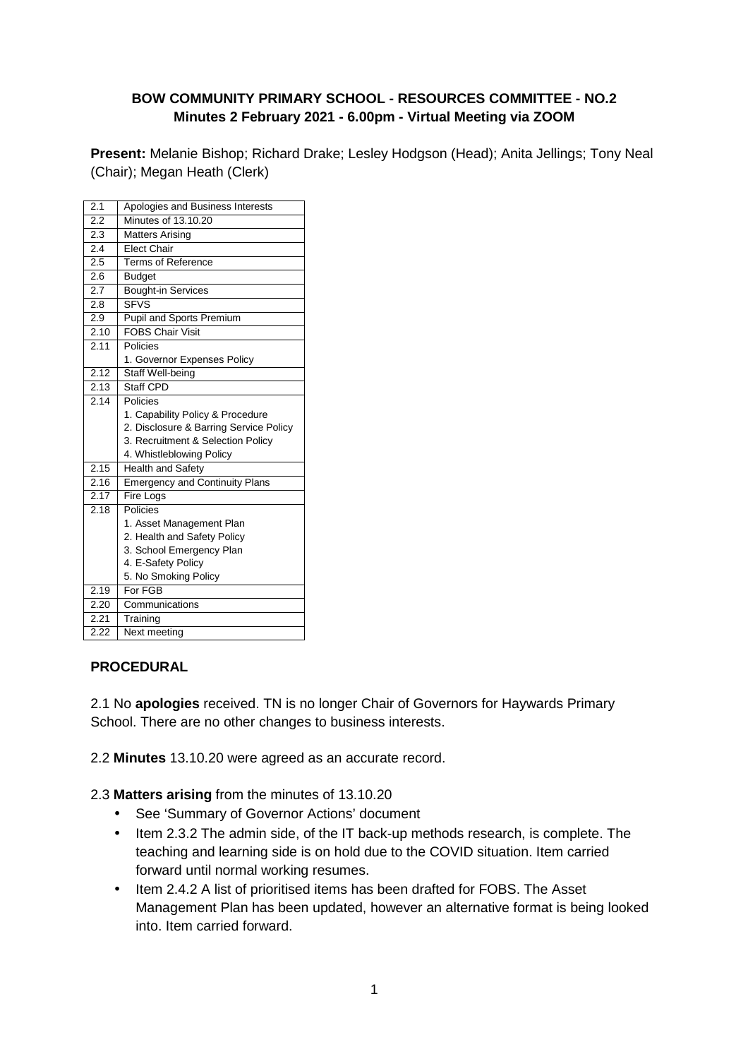### **BOW COMMUNITY PRIMARY SCHOOL - RESOURCES COMMITTEE - NO.2 Minutes 2 February 2021 - 6.00pm - Virtual Meeting via ZOOM**

**Present:** Melanie Bishop; Richard Drake; Lesley Hodgson (Head); Anita Jellings; Tony Neal (Chair); Megan Heath (Clerk)

| 2.1  | Apologies and Business Interests       |
|------|----------------------------------------|
| 2.2  | Minutes of 13.10.20                    |
| 2.3  | <b>Matters Arising</b>                 |
| 2.4  | <b>Elect Chair</b>                     |
| 2.5  | <b>Terms of Reference</b>              |
| 2.6  | <b>Budget</b>                          |
| 2.7  | <b>Bought-in Services</b>              |
| 2.8  | <b>SFVS</b>                            |
| 2.9  | Pupil and Sports Premium               |
| 2.10 | <b>FOBS Chair Visit</b>                |
| 2.11 | Policies                               |
|      | 1. Governor Expenses Policy            |
| 2.12 | Staff Well-being                       |
| 2.13 | Staff CPD                              |
| 2.14 | Policies                               |
|      | 1. Capability Policy & Procedure       |
|      | 2. Disclosure & Barring Service Policy |
|      | 3. Recruitment & Selection Policy      |
|      | 4. Whistleblowing Policy               |
| 2.15 | <b>Health and Safety</b>               |
| 2.16 | <b>Emergency and Continuity Plans</b>  |
| 2.17 | <b>Fire Logs</b>                       |
| 2.18 | Policies                               |
|      | 1. Asset Management Plan               |
|      | 2. Health and Safety Policy            |
|      | 3. School Emergency Plan               |
|      | 4. E-Safety Policy                     |
|      | 5. No Smoking Policy                   |
| 2.19 | For FGB                                |
| 2.20 | Communications                         |
| 2.21 | Training                               |
| 2.22 | Next meeting                           |

### **PROCEDURAL**

2.1 No **apologies** received. TN is no longer Chair of Governors for Haywards Primary School. There are no other changes to business interests.

2.2 **Minutes** 13.10.20 were agreed as an accurate record.

- 2.3 **Matters arising** from the minutes of 13.10.20
	- See 'Summary of Governor Actions' document
	- Item 2.3.2 The admin side, of the IT back-up methods research, is complete. The teaching and learning side is on hold due to the COVID situation. Item carried forward until normal working resumes.
	- Item 2.4.2 A list of prioritised items has been drafted for FOBS. The Asset Management Plan has been updated, however an alternative format is being looked into. Item carried forward.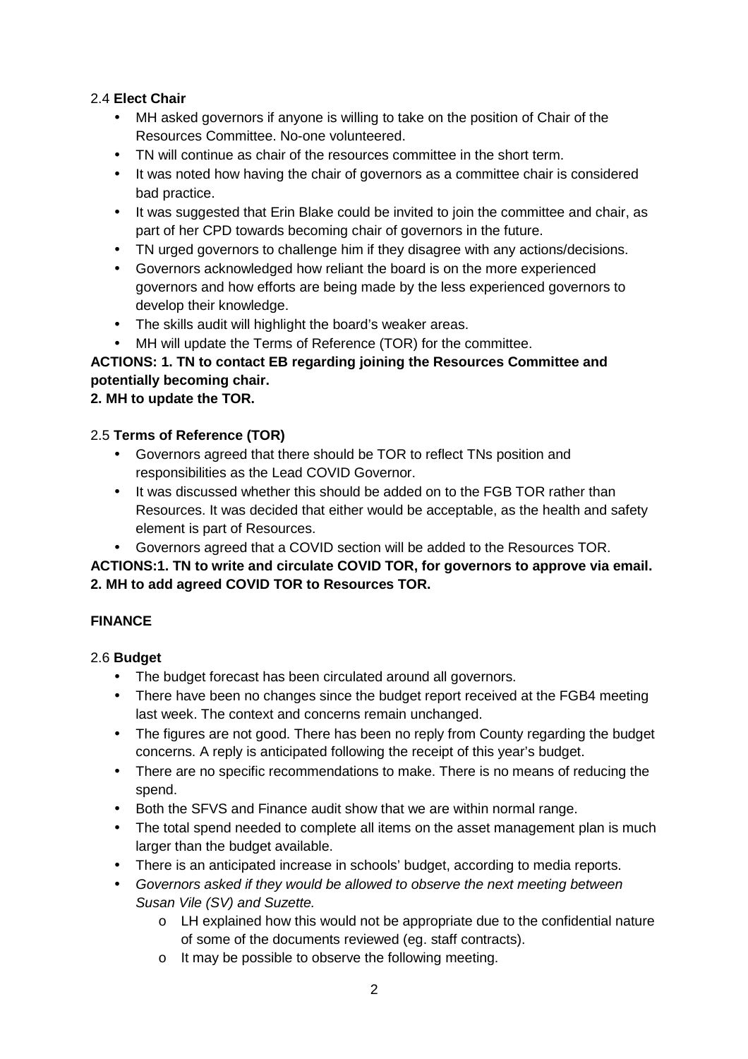## 2.4 **Elect Chair**

- MH asked governors if anyone is willing to take on the position of Chair of the Resources Committee. No-one volunteered.
- TN will continue as chair of the resources committee in the short term.
- It was noted how having the chair of governors as a committee chair is considered bad practice.
- It was suggested that Erin Blake could be invited to join the committee and chair, as part of her CPD towards becoming chair of governors in the future.
- TN urged governors to challenge him if they disagree with any actions/decisions.
- Governors acknowledged how reliant the board is on the more experienced governors and how efforts are being made by the less experienced governors to develop their knowledge.
- The skills audit will highlight the board's weaker areas.
- MH will update the Terms of Reference (TOR) for the committee.

# **ACTIONS: 1. TN to contact EB regarding joining the Resources Committee and potentially becoming chair.**

**2. MH to update the TOR.** 

### 2.5 **Terms of Reference (TOR)**

- Governors agreed that there should be TOR to reflect TNs position and responsibilities as the Lead COVID Governor.
- It was discussed whether this should be added on to the FGB TOR rather than Resources. It was decided that either would be acceptable, as the health and safety element is part of Resources.
- Governors agreed that a COVID section will be added to the Resources TOR.

## **ACTIONS:1. TN to write and circulate COVID TOR, for governors to approve via email. 2. MH to add agreed COVID TOR to Resources TOR.**

### **FINANCE**

## 2.6 **Budget**

- The budget forecast has been circulated around all governors.
- There have been no changes since the budget report received at the FGB4 meeting last week. The context and concerns remain unchanged.
- The figures are not good. There has been no reply from County regarding the budget concerns. A reply is anticipated following the receipt of this year's budget.
- There are no specific recommendations to make. There is no means of reducing the spend.
- Both the SFVS and Finance audit show that we are within normal range.
- The total spend needed to complete all items on the asset management plan is much larger than the budget available.
- There is an anticipated increase in schools' budget, according to media reports.
- Governors asked if they would be allowed to observe the next meeting between Susan Vile (SV) and Suzette.
	- o LH explained how this would not be appropriate due to the confidential nature of some of the documents reviewed (eg. staff contracts).
	- o It may be possible to observe the following meeting.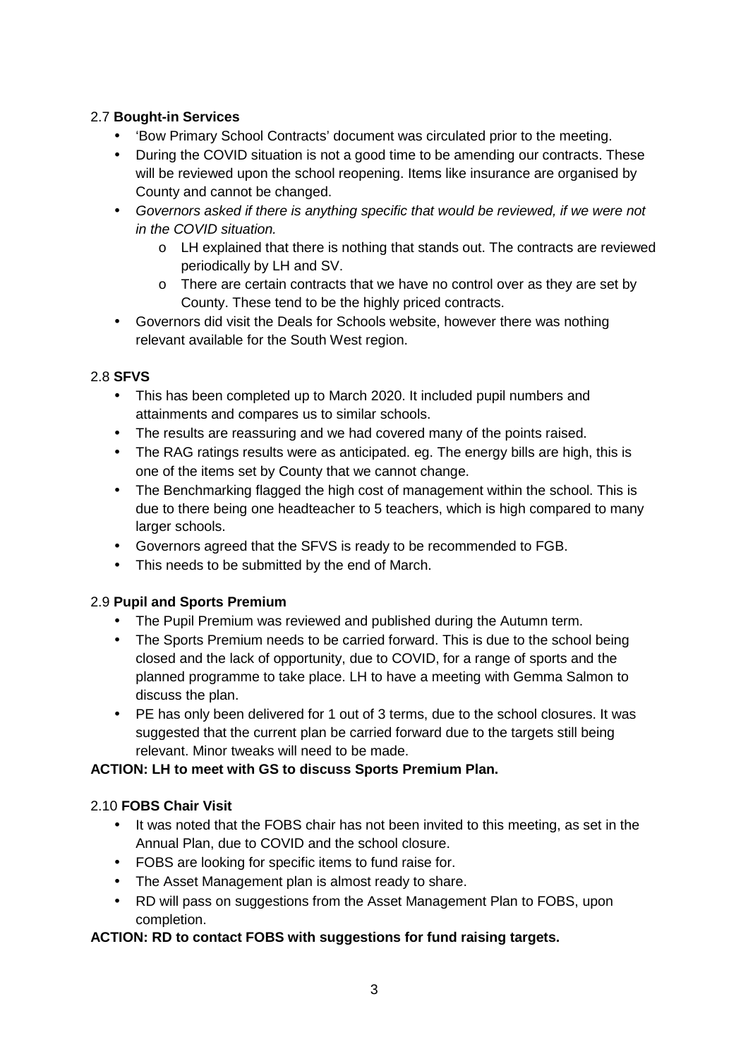## 2.7 **Bought-in Services**

- 'Bow Primary School Contracts' document was circulated prior to the meeting.
- During the COVID situation is not a good time to be amending our contracts. These will be reviewed upon the school reopening. Items like insurance are organised by County and cannot be changed.
- Governors asked if there is anything specific that would be reviewed, if we were not in the COVID situation.
	- o LH explained that there is nothing that stands out. The contracts are reviewed periodically by LH and SV.
	- $\circ$  There are certain contracts that we have no control over as they are set by County. These tend to be the highly priced contracts.
- Governors did visit the Deals for Schools website, however there was nothing relevant available for the South West region.

### 2.8 **SFVS**

- This has been completed up to March 2020. It included pupil numbers and attainments and compares us to similar schools.
- The results are reassuring and we had covered many of the points raised.
- The RAG ratings results were as anticipated. eg. The energy bills are high, this is one of the items set by County that we cannot change.
- The Benchmarking flagged the high cost of management within the school. This is due to there being one headteacher to 5 teachers, which is high compared to many larger schools.
- Governors agreed that the SFVS is ready to be recommended to FGB.
- This needs to be submitted by the end of March.

### 2.9 **Pupil and Sports Premium**

- The Pupil Premium was reviewed and published during the Autumn term.
- The Sports Premium needs to be carried forward. This is due to the school being closed and the lack of opportunity, due to COVID, for a range of sports and the planned programme to take place. LH to have a meeting with Gemma Salmon to discuss the plan.
- PE has only been delivered for 1 out of 3 terms, due to the school closures. It was suggested that the current plan be carried forward due to the targets still being relevant. Minor tweaks will need to be made.

### **ACTION: LH to meet with GS to discuss Sports Premium Plan.**

### 2.10 **FOBS Chair Visit**

- It was noted that the FOBS chair has not been invited to this meeting, as set in the Annual Plan, due to COVID and the school closure.
- FOBS are looking for specific items to fund raise for.
- The Asset Management plan is almost ready to share.
- RD will pass on suggestions from the Asset Management Plan to FOBS, upon completion.

### **ACTION: RD to contact FOBS with suggestions for fund raising targets.**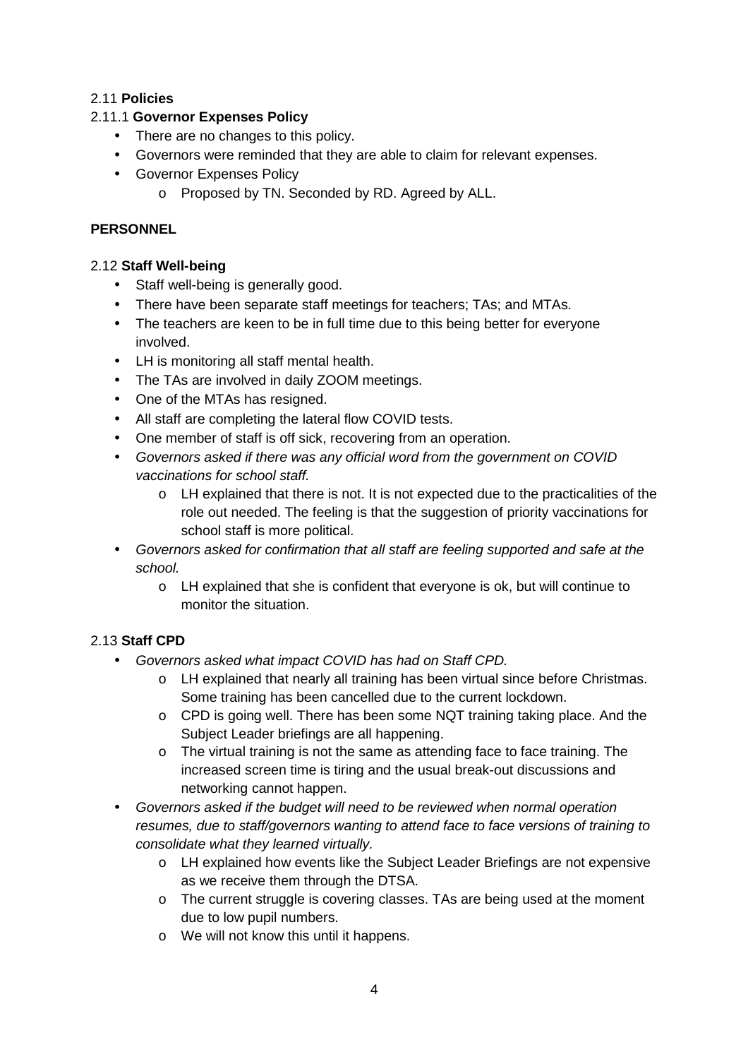## 2.11 **Policies**

## 2.11.1 **Governor Expenses Policy**

- There are no changes to this policy.
- Governors were reminded that they are able to claim for relevant expenses.
- Governor Expenses Policy
	- o Proposed by TN. Seconded by RD. Agreed by ALL.

## **PERSONNEL**

## 2.12 **Staff Well-being**

- Staff well-being is generally good.
- There have been separate staff meetings for teachers; TAs; and MTAs.
- The teachers are keen to be in full time due to this being better for everyone involved.
- LH is monitoring all staff mental health.
- The TAs are involved in daily ZOOM meetings.
- One of the MTAs has resigned.
- All staff are completing the lateral flow COVID tests.
- One member of staff is off sick, recovering from an operation.
- Governors asked if there was any official word from the government on COVID vaccinations for school staff.
	- o LH explained that there is not. It is not expected due to the practicalities of the role out needed. The feeling is that the suggestion of priority vaccinations for school staff is more political.
- Governors asked for confirmation that all staff are feeling supported and safe at the school.
	- o LH explained that she is confident that everyone is ok, but will continue to monitor the situation.

## 2.13 **Staff CPD**

- Governors asked what impact COVID has had on Staff CPD.
	- o LH explained that nearly all training has been virtual since before Christmas. Some training has been cancelled due to the current lockdown.
	- $\circ$  CPD is going well. There has been some NQT training taking place. And the Subject Leader briefings are all happening.
	- o The virtual training is not the same as attending face to face training. The increased screen time is tiring and the usual break-out discussions and networking cannot happen.
- Governors asked if the budget will need to be reviewed when normal operation resumes, due to staff/governors wanting to attend face to face versions of training to consolidate what they learned virtually.
	- o LH explained how events like the Subject Leader Briefings are not expensive as we receive them through the DTSA.
	- o The current struggle is covering classes. TAs are being used at the moment due to low pupil numbers.
	- o We will not know this until it happens.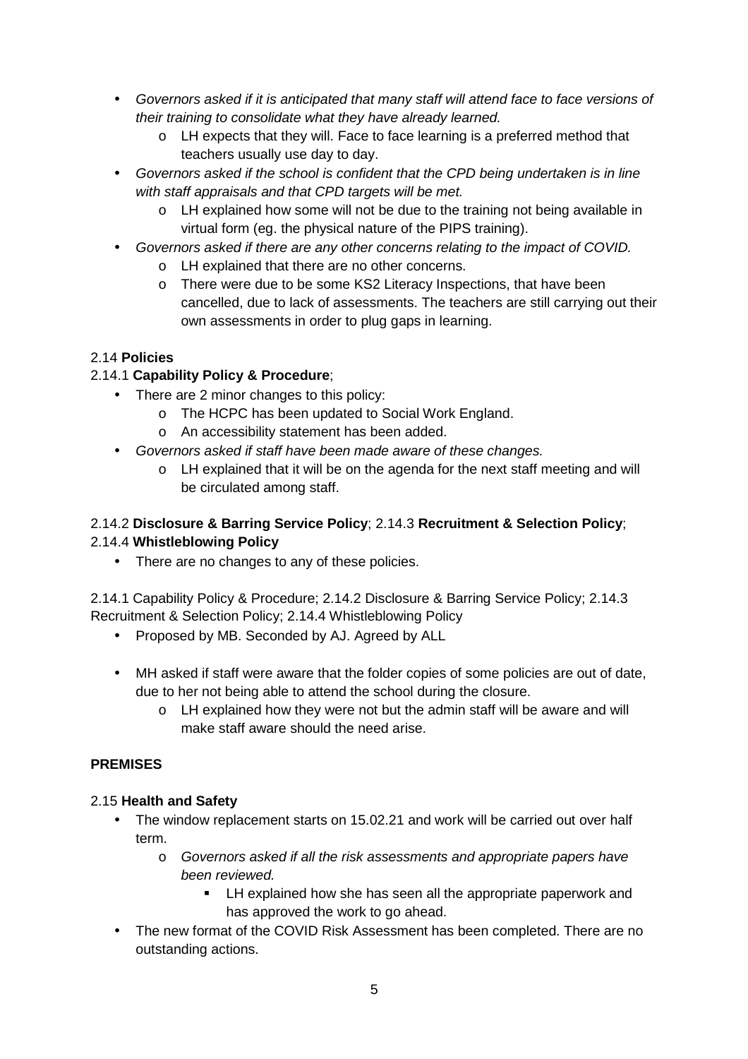- Governors asked if it is anticipated that many staff will attend face to face versions of their training to consolidate what they have already learned.
	- o LH expects that they will. Face to face learning is a preferred method that teachers usually use day to day.
- Governors asked if the school is confident that the CPD being undertaken is in line with staff appraisals and that CPD targets will be met.
	- o LH explained how some will not be due to the training not being available in virtual form (eg. the physical nature of the PIPS training).
- Governors asked if there are any other concerns relating to the impact of COVID.
	- o LH explained that there are no other concerns.
	- o There were due to be some KS2 Literacy Inspections, that have been cancelled, due to lack of assessments. The teachers are still carrying out their own assessments in order to plug gaps in learning.

## 2.14 **Policies**

## 2.14.1 **Capability Policy & Procedure**;

- There are 2 minor changes to this policy:
	- o The HCPC has been updated to Social Work England.
	- o An accessibility statement has been added.
- Governors asked if staff have been made aware of these changes.
	- $\circ$  LH explained that it will be on the agenda for the next staff meeting and will be circulated among staff.

## 2.14.2 **Disclosure & Barring Service Policy**; 2.14.3 **Recruitment & Selection Policy**; 2.14.4 **Whistleblowing Policy**

• There are no changes to any of these policies.

2.14.1 Capability Policy & Procedure; 2.14.2 Disclosure & Barring Service Policy; 2.14.3 Recruitment & Selection Policy; 2.14.4 Whistleblowing Policy

- Proposed by MB. Seconded by AJ. Agreed by ALL
- MH asked if staff were aware that the folder copies of some policies are out of date, due to her not being able to attend the school during the closure.
	- $\circ$  LH explained how they were not but the admin staff will be aware and will make staff aware should the need arise.

## **PREMISES**

### 2.15 **Health and Safety**

- The window replacement starts on 15.02.21 and work will be carried out over half term.
	- o Governors asked if all the risk assessments and appropriate papers have been reviewed.
		- **EXECT** LH explained how she has seen all the appropriate paperwork and has approved the work to go ahead.
- The new format of the COVID Risk Assessment has been completed. There are no outstanding actions.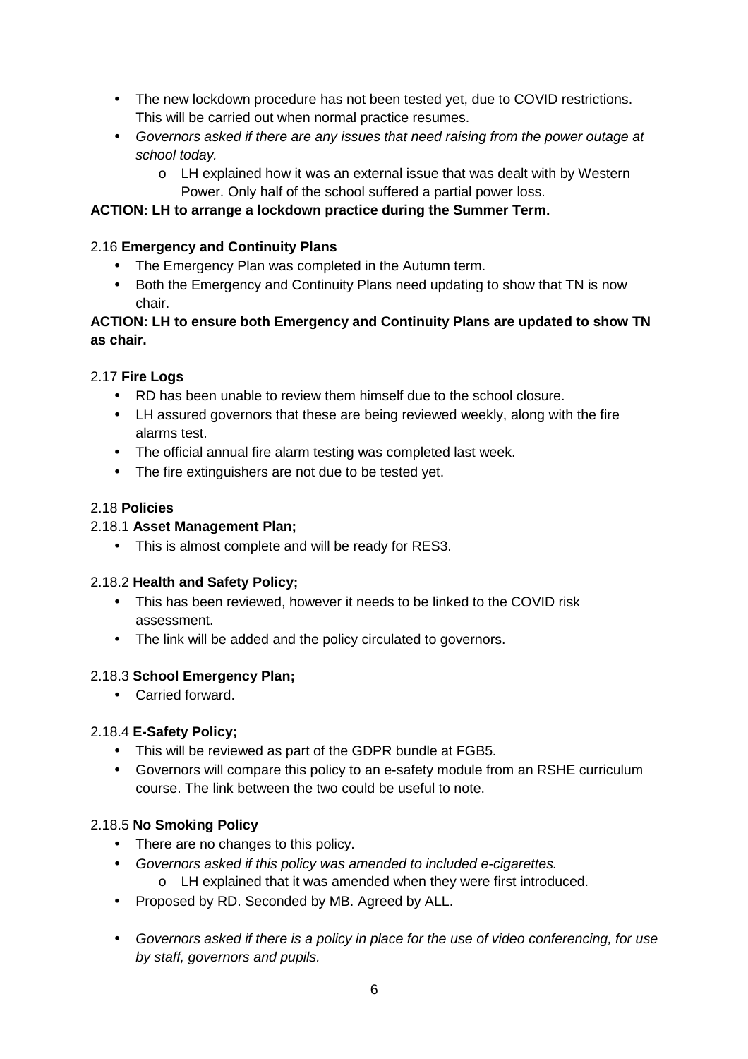- The new lockdown procedure has not been tested yet, due to COVID restrictions. This will be carried out when normal practice resumes.
- Governors asked if there are any issues that need raising from the power outage at school today.
	- o LH explained how it was an external issue that was dealt with by Western Power. Only half of the school suffered a partial power loss.

## **ACTION: LH to arrange a lockdown practice during the Summer Term.**

## 2.16 **Emergency and Continuity Plans**

- The Emergency Plan was completed in the Autumn term.
- Both the Emergency and Continuity Plans need updating to show that TN is now chair.

## **ACTION: LH to ensure both Emergency and Continuity Plans are updated to show TN as chair.**

## 2.17 **Fire Logs**

- RD has been unable to review them himself due to the school closure.
- LH assured governors that these are being reviewed weekly, along with the fire alarms test.
- The official annual fire alarm testing was completed last week.
- The fire extinguishers are not due to be tested yet.

### 2.18 **Policies**

## 2.18.1 **Asset Management Plan;**

• This is almost complete and will be ready for RES3.

### 2.18.2 **Health and Safety Policy;**

- This has been reviewed, however it needs to be linked to the COVID risk assessment.
- The link will be added and the policy circulated to governors.

### 2.18.3 **School Emergency Plan;**

• Carried forward.

### 2.18.4 **E-Safety Policy;**

- This will be reviewed as part of the GDPR bundle at FGB5.
- Governors will compare this policy to an e-safety module from an RSHE curriculum course. The link between the two could be useful to note.

### 2.18.5 **No Smoking Policy**

- There are no changes to this policy.
- Governors asked if this policy was amended to included e-cigarettes.
	- o LH explained that it was amended when they were first introduced.
- Proposed by RD. Seconded by MB. Agreed by ALL.
- Governors asked if there is a policy in place for the use of video conferencing, for use by staff, governors and pupils.